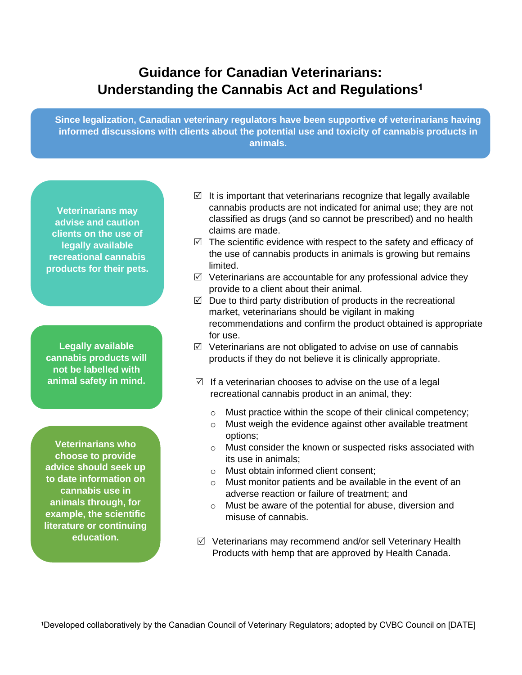## **Guidance for Canadian Veterinarians: Understanding the Cannabis Act and Regulations<sup>1</sup>**

**Since legalization, Canadian veterinary regulators have been supportive of veterinarians having informed discussions with clients about the potential use and toxicity of cannabis products in animals.**

**Veterinarians may advise and caution clients on the use of legally available recreational cannabis products for their pets.**

**Legally available cannabis products will not be labelled with animal safety in mind.**

**Veterinarians who choose to provide advice should seek up to date information on cannabis use in animals through, for example, the scientific literature or continuing education.**

- $\boxtimes$  It is important that veterinarians recognize that legally available cannabis products are not indicated for animal use; they are not classified as drugs (and so cannot be prescribed) and no health claims are made.
- $\boxtimes$  The scientific evidence with respect to the safety and efficacy of the use of cannabis products in animals is growing but remains limited.
- $\boxtimes$  Veterinarians are accountable for any professional advice they provide to a client about their animal.
- $\boxtimes$  Due to third party distribution of products in the recreational market, veterinarians should be vigilant in making recommendations and confirm the product obtained is appropriate for use.
- $\boxtimes$  Veterinarians are not obligated to advise on use of cannabis products if they do not believe it is clinically appropriate.
- $\boxtimes$  If a veterinarian chooses to advise on the use of a legal recreational cannabis product in an animal, they:
	- o Must practice within the scope of their clinical competency;
	- o Must weigh the evidence against other available treatment options;
	- o Must consider the known or suspected risks associated with its use in animals;
	- o Must obtain informed client consent;
	- o Must monitor patients and be available in the event of an adverse reaction or failure of treatment; and
	- o Must be aware of the potential for abuse, diversion and misuse of cannabis.
- $\boxtimes$  Veterinarians may recommend and/or sell Veterinary Health Products with hemp that are approved by Health Canada.

1Developed collaboratively by the Canadian Council of Veterinary Regulators; adopted by CVBC Council on [DATE]